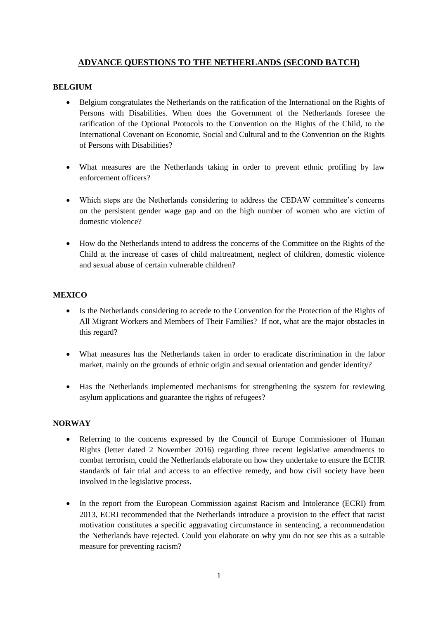# **ADVANCE QUESTIONS TO THE NETHERLANDS (SECOND BATCH)**

## **BELGIUM**

- Belgium congratulates the Netherlands on the ratification of the International on the Rights of Persons with Disabilities. When does the Government of the Netherlands foresee the ratification of the Optional Protocols to the Convention on the Rights of the Child, to the International Covenant on Economic, Social and Cultural and to the Convention on the Rights of Persons with Disabilities?
- What measures are the Netherlands taking in order to prevent ethnic profiling by law enforcement officers?
- Which steps are the Netherlands considering to address the CEDAW committee's concerns on the persistent gender wage gap and on the high number of women who are victim of domestic violence?
- How do the Netherlands intend to address the concerns of the Committee on the Rights of the Child at the increase of cases of child maltreatment, neglect of children, domestic violence and sexual abuse of certain vulnerable children?

# **MEXICO**

- Is the Netherlands considering to accede to the Convention for the Protection of the Rights of All Migrant Workers and Members of Their Families? If not, what are the major obstacles in this regard?
- What measures has the Netherlands taken in order to eradicate discrimination in the labor market, mainly on the grounds of ethnic origin and sexual orientation and gender identity?
- Has the Netherlands implemented mechanisms for strengthening the system for reviewing asylum applications and guarantee the rights of refugees?

#### **NORWAY**

- Referring to the concerns expressed by the Council of Europe Commissioner of Human Rights (letter dated 2 November 2016) regarding three recent legislative amendments to combat terrorism, could the Netherlands elaborate on how they undertake to ensure the ECHR standards of fair trial and access to an effective remedy, and how civil society have been involved in the legislative process.
- In the report from the European Commission against Racism and Intolerance (ECRI) from 2013, ECRI recommended that the Netherlands introduce a provision to the effect that racist motivation constitutes a specific aggravating circumstance in sentencing, a recommendation the Netherlands have rejected. Could you elaborate on why you do not see this as a suitable measure for preventing racism?